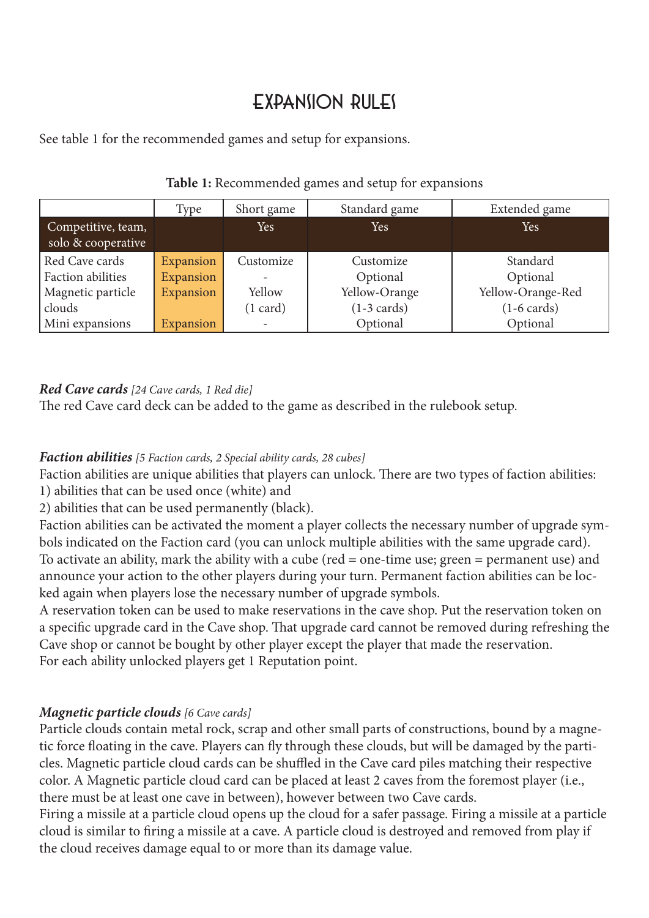# Expansion rules

See table 1 for the recommended games and setup for expansions.

|                                          | Type      | Short game               | Standard game         | Extended game         |
|------------------------------------------|-----------|--------------------------|-----------------------|-----------------------|
| Competitive, team,<br>solo & cooperative |           | Yes                      | Yes                   | Yes                   |
| Red Cave cards                           | Expansion | Customize                | Customize             | Standard              |
| <b>Faction abilities</b>                 | Expansion |                          | Optional              | Optional              |
| Magnetic particle                        | Expansion | Yellow                   | Yellow-Orange         | Yellow-Orange-Red     |
| clouds                                   |           | $(1 \text{ card})$       | $(1-3 \text{ cards})$ | $(1-6 \text{ cards})$ |
| Mini expansions                          | Expansion | $\overline{\phantom{a}}$ | Optional              | Optional              |

# **Table 1:** Recommended games and setup for expansions

### *Red Cave cards [24 Cave cards, 1 Red die]*

The red Cave card deck can be added to the game as described in the rulebook setup.

### *Faction abilities [5 Faction cards, 2 Special ability cards, 28 cubes]*

Faction abilities are unique abilities that players can unlock. There are two types of faction abilities: 1) abilities that can be used once (white) and

2) abilities that can be used permanently (black).

Faction abilities can be activated the moment a player collects the necessary number of upgrade symbols indicated on the Faction card (you can unlock multiple abilities with the same upgrade card). To activate an ability, mark the ability with a cube (red = one-time use; green = permanent use) and announce your action to the other players during your turn. Permanent faction abilities can be locked again when players lose the necessary number of upgrade symbols.

A reservation token can be used to make reservations in the cave shop. Put the reservation token on a specific upgrade card in the Cave shop. That upgrade card cannot be removed during refreshing the Cave shop or cannot be bought by other player except the player that made the reservation. For each ability unlocked players get 1 Reputation point.

# *Magnetic particle clouds [6 Cave cards]*

Particle clouds contain metal rock, scrap and other small parts of constructions, bound by a magnetic force floating in the cave. Players can fly through these clouds, but will be damaged by the particles. Magnetic particle cloud cards can be shuffled in the Cave card piles matching their respective color. A Magnetic particle cloud card can be placed at least 2 caves from the foremost player (i.e., there must be at least one cave in between), however between two Cave cards.

Firing a missile at a particle cloud opens up the cloud for a safer passage. Firing a missile at a particle cloud is similar to firing a missile at a cave. A particle cloud is destroyed and removed from play if the cloud receives damage equal to or more than its damage value.